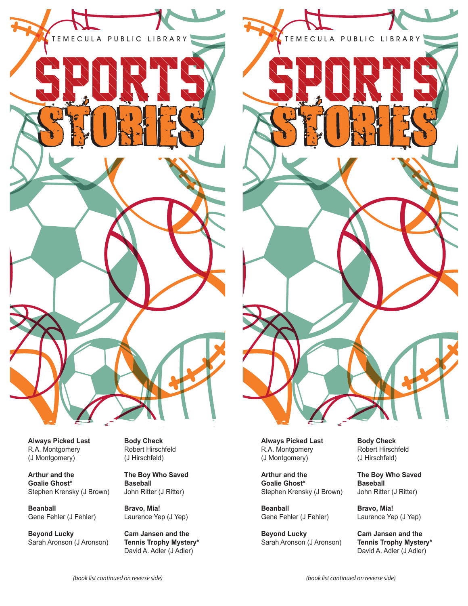



**TEMECULA PUBLIC LIBRARY**

STORIES S

**Always Picked Last** R.A. Montgomery (J Montgomery)

**Arthur and the Goalie Ghost\*** Stephen Krensky (J Brown)

**Beanball** Gene Fehler (J Fehler)

**Beyond Lucky** Sarah Aronson (J Aronson)

**Body Check** Robert Hirschfeld (J Hirschfeld)

**The Boy Who Saved Baseball**  John Ritter (J Ritter)

**Bravo, Mia!** Laurence Yep (J Yep)

**Cam Jansen and the Tennis Trophy Mystery\*** David A. Adler (J Adler)

**Always Picked Last** R.A. Montgomery (J Montgomery)

**Arthur and the Goalie Ghost\*** Stephen Krensky (J Brown)

**Beanball** Gene Fehler (J Fehler)

**Beyond Lucky** Sarah Aronson (J Aronson) **Body Check** Robert Hirschfeld (J Hirschfeld)

**The Boy Who Saved Baseball**  John Ritter (J Ritter)

**Bravo, Mia!** Laurence Yep (J Yep)

**Cam Jansen and the Tennis Trophy Mystery\*** David A. Adler (J Adler)